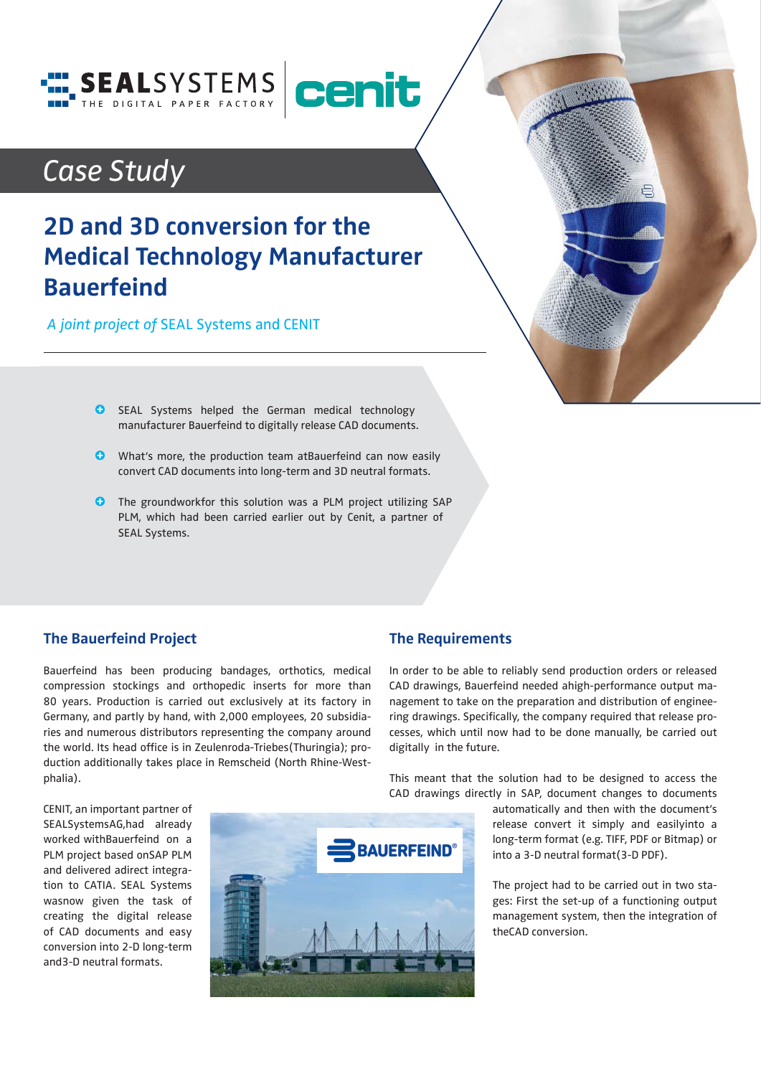

# *Case Study*

## **2D and 3D conversion for the Medical Technology Manufacturer Bauerfeind**

 *A joint project of* SEAL Systems and CENIT



- **G** SEAL Systems helped the German medical technology manufacturer Bauerfeind to digitally release CAD documents.
- **O** What's more, the production team atBauerfeind can now easily convert CAD documents into long-term and 3D neutral formats.
- The groundworkfor this solution was a PLM project utilizing SAP PLM, which had been carried earlier out by Cenit, a partner of SEAL Systems.

### **The Bauerfeind Project**

Bauerfeind has been producing bandages, orthotics, medical compression stockings and orthopedic inserts for more than 80 years. Production is carried out exclusively at its factory in Germany, and partly by hand, with 2,000 employees, 20 subsidiaries and numerous distributors representing the company around the world. Its head office is in Zeulenroda-Triebes(Thuringia); production additionally takes place in Remscheid (North Rhine-Westphalia).

#### **The Requirements**

In order to be able to reliably send production orders or released CAD drawings, Bauerfeind needed ahigh-performance output management to take on the preparation and distribution of engineering drawings. Specifically, the company required that release processes, which until now had to be done manually, be carried out digitally in the future.

This meant that the solution had to be designed to access the CAD drawings directly in SAP, document changes to documents

> automatically and then with the document's release convert it simply and easilyinto a long-term format (e.g. TIFF, PDF or Bitmap) or into a 3-D neutral format(3-D PDF).

> The project had to be carried out in two stages: First the set-up of a functioning output management system, then the integration of theCAD conversion.

CENIT, an important partner of SEALSystemsAG,had already worked withBauerfeind on a PLM project based onSAP PLM and delivered adirect integration to CATIA. SEAL Systems wasnow given the task of creating the digital release of CAD documents and easy conversion into 2-D long-term and3-D neutral formats.